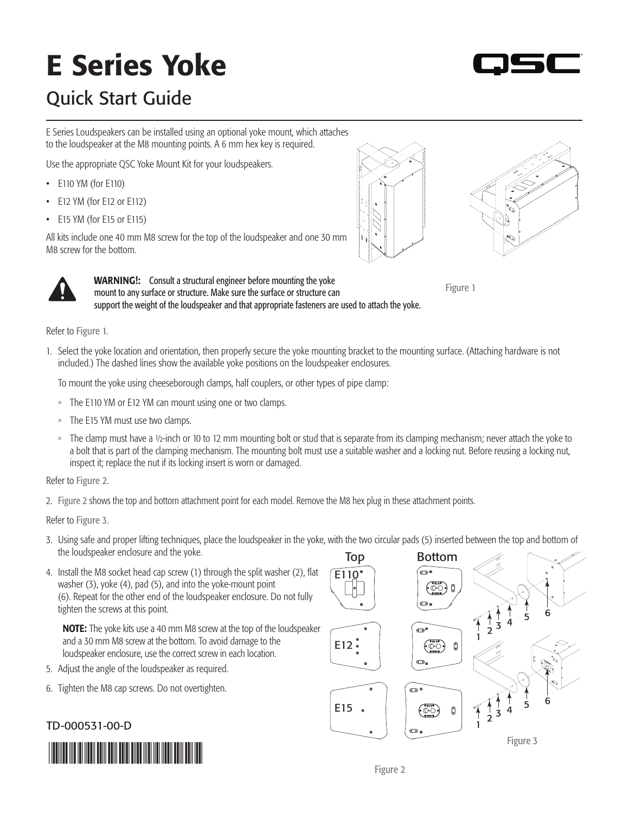## E Series Yoke



## Quick Start Guide

E Series Loudspeakers can be installed using an optional yoke mount, which attaches to the loudspeaker at the M8 mounting points. A 6 mm hex key is required.

Use the appropriate QSC Yoke Mount Kit for your loudspeakers.

- E110 YM (for E110)
- E12 YM (for E12 or E112)
- E15 YM (for E15 or E115)

All kits include one 40 mm M8 screw for the top of the loudspeaker and one 30 mm M8 screw for the bottom.

> **WARNING!:** Consult a structural engineer before mounting the yoke mount to any surface or structure. Make sure the surface or structure can





<span id="page-0-0"></span>Figure 1

support the weight of the loudspeaker and that appropriate fasteners are used to attach the yoke. Refer to [Figure 1](#page-0-0).

1. Select the yoke location and orientation, then properly secure the yoke mounting bracket to the mounting surface. (Attaching hardware is not included.) The dashed lines show the available yoke positions on the loudspeaker enclosures.

To mount the yoke using cheeseborough clamps, half couplers, or other types of pipe clamp:

- The E110 YM or E12 YM can mount using one or two clamps.
- The E15 YM must use two clamps.
- The clamp must have a ½-inch or 10 to 12 mm mounting bolt or stud that is separate from its clamping mechanism; never attach the yoke to a bolt that is part of the clamping mechanism. The mounting bolt must use a suitable washer and a locking nut. Before reusing a locking nut, inspect it; replace the nut if its locking insert is worn or damaged.

Refer to [Figure 2](#page-0-1).

2. [Figure 2](#page-0-1) shows the top and bottom attachment point for each model. Remove the M8 hex plug in these attachment points.

Refer to [Figure 3](#page-0-2).

- 3. Using safe and proper lifting techniques, place the loudspeaker in the yoke, with the two circular pads (5) inserted between the top and bottom of the loudspeaker enclosure and the yoke.
- 4. Install the M8 socket head cap screw (1) through the split washer (2), flat washer (3), yoke (4), pad (5), and into the yoke-mount point (6). Repeat for the other end of the loudspeaker enclosure. Do not fully tighten the screws at this point.

NOTE: The yoke kits use a 40 mm M8 screw at the top of the loudspeaker and a 30 mm M8 screw at the bottom. To avoid damage to the loudspeaker enclosure, use the correct screw in each location.

- 5. Adjust the angle of the loudspeaker as required.
- 6. Tighten the M8 cap screws. Do not overtighten.

## TD-000531-00-D



<span id="page-0-2"></span><span id="page-0-1"></span>